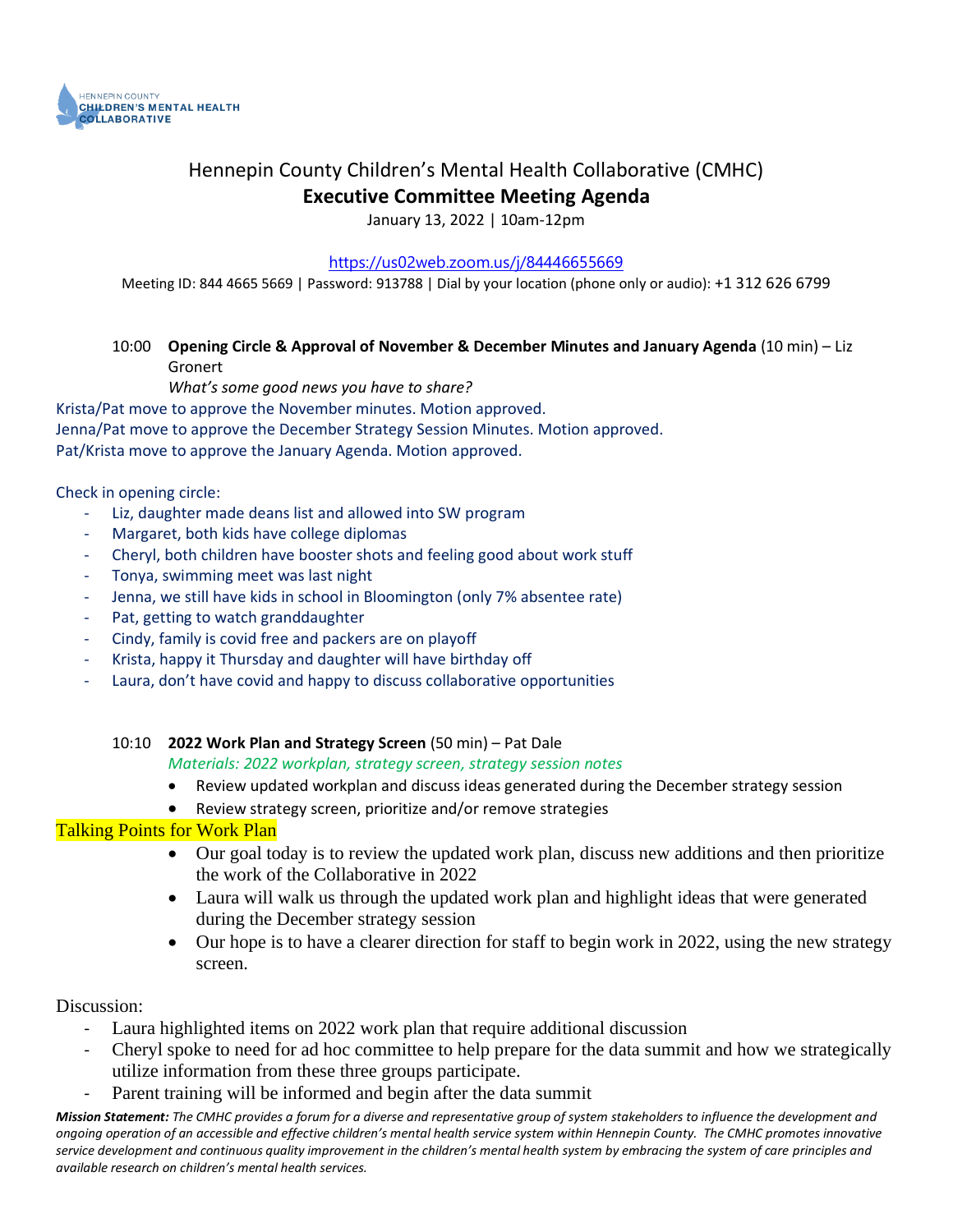

## Hennepin County Children's Mental Health Collaborative (CMHC) **Executive Committee Meeting Agenda**

January 13, 2022 | 10am-12pm

#### <https://us02web.zoom.us/j/84446655669>

Meeting ID: 844 4665 5669 | Password: 913788 | Dial by your location (phone only or audio): +1 312 626 6799

## 10:00 **Opening Circle & Approval of November & December Minutes and January Agenda** (10 min) – Liz Gronert

*What's some good news you have to share?*

Krista/Pat move to approve the November minutes. Motion approved.

Jenna/Pat move to approve the December Strategy Session Minutes. Motion approved.

Pat/Krista move to approve the January Agenda. Motion approved.

Check in opening circle:

- Liz, daughter made deans list and allowed into SW program
- Margaret, both kids have college diplomas
- Cheryl, both children have booster shots and feeling good about work stuff
- Tonya, swimming meet was last night
- Jenna, we still have kids in school in Bloomington (only 7% absentee rate)
- Pat, getting to watch granddaughter
- Cindy, family is covid free and packers are on playoff
- Krista, happy it Thursday and daughter will have birthday off
- Laura, don't have covid and happy to discuss collaborative opportunities

10:10 **2022 Work Plan and Strategy Screen** (50 min) – Pat Dale

*Materials: 2022 workplan, strategy screen, strategy session notes*

- Review updated workplan and discuss ideas generated during the December strategy session
- Review strategy screen, prioritize and/or remove strategies

#### Talking Points for Work Plan

- Our goal today is to review the updated work plan, discuss new additions and then prioritize the work of the Collaborative in 2022
- Laura will walk us through the updated work plan and highlight ideas that were generated during the December strategy session
- Our hope is to have a clearer direction for staff to begin work in 2022, using the new strategy screen.

Discussion:

- Laura highlighted items on 2022 work plan that require additional discussion
- Cheryl spoke to need for ad hoc committee to help prepare for the data summit and how we strategically utilize information from these three groups participate.
- Parent training will be informed and begin after the data summit

*Mission Statement: The CMHC provides a forum for a diverse and representative group of system stakeholders to influence the development and ongoing operation of an accessible and effective children's mental health service system within Hennepin County. The CMHC promotes innovative service development and continuous quality improvement in the children's mental health system by embracing the system of care principles and available research on children's mental health services.*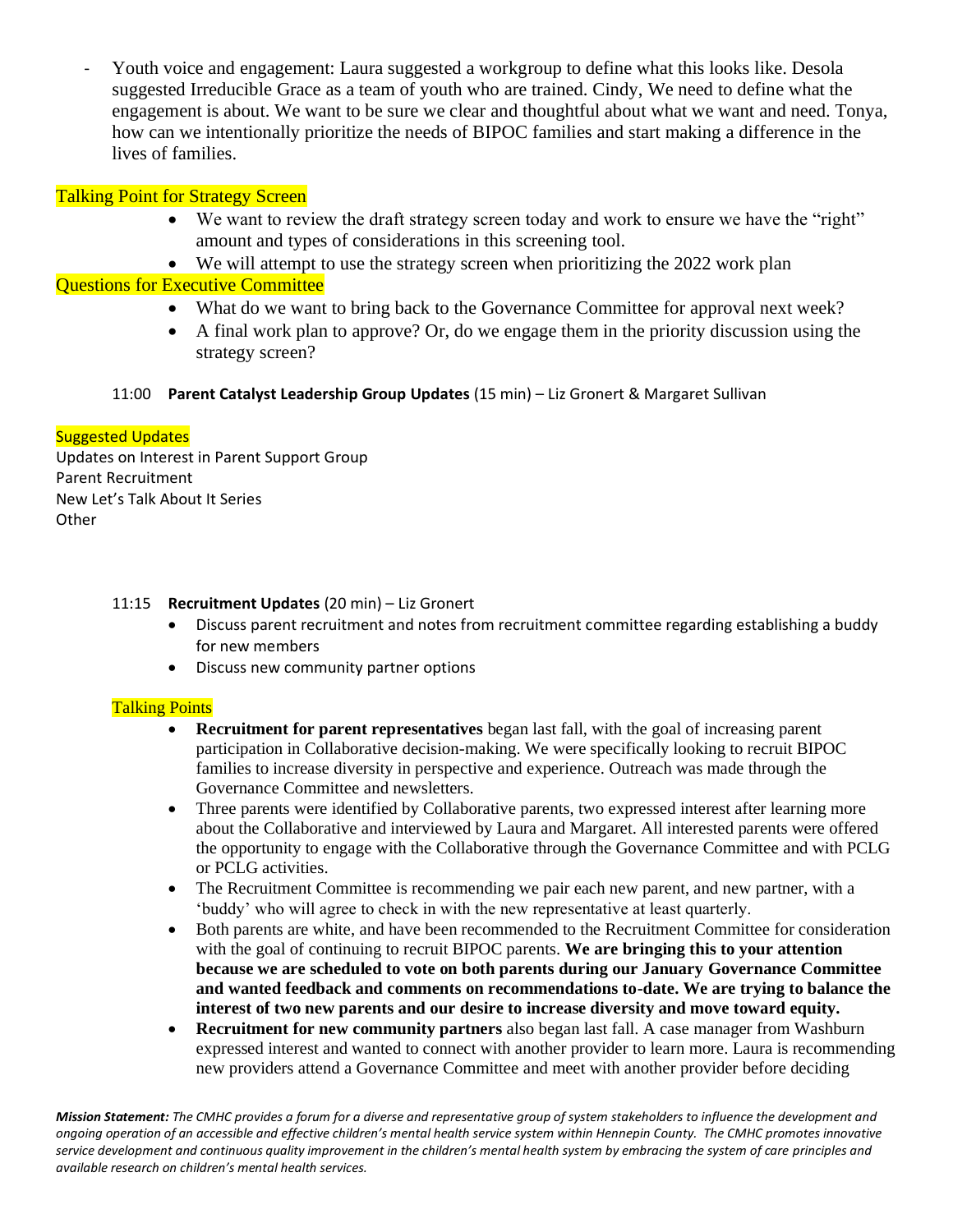Youth voice and engagement: Laura suggested a workgroup to define what this looks like. Desola suggested Irreducible Grace as a team of youth who are trained. Cindy, We need to define what the engagement is about. We want to be sure we clear and thoughtful about what we want and need. Tonya, how can we intentionally prioritize the needs of BIPOC families and start making a difference in the lives of families.

## Talking Point for Strategy Screen

- We want to review the draft strategy screen today and work to ensure we have the "right" amount and types of considerations in this screening tool.
- We will attempt to use the strategy screen when prioritizing the 2022 work plan

### Questions for Executive Committee

- What do we want to bring back to the Governance Committee for approval next week?
- A final work plan to approve? Or, do we engage them in the priority discussion using the strategy screen?

#### 11:00 **Parent Catalyst Leadership Group Updates** (15 min) – Liz Gronert & Margaret Sullivan

#### Suggested Updates

Updates on Interest in Parent Support Group Parent Recruitment New Let's Talk About It Series **Other** 

#### 11:15 **Recruitment Updates** (20 min) – Liz Gronert

- Discuss parent recruitment and notes from recruitment committee regarding establishing a buddy for new members
- Discuss new community partner options

#### Talking Points

- **Recruitment for parent representatives** began last fall, with the goal of increasing parent participation in Collaborative decision-making. We were specifically looking to recruit BIPOC families to increase diversity in perspective and experience. Outreach was made through the Governance Committee and newsletters.
- Three parents were identified by Collaborative parents, two expressed interest after learning more about the Collaborative and interviewed by Laura and Margaret. All interested parents were offered the opportunity to engage with the Collaborative through the Governance Committee and with PCLG or PCLG activities.
- The Recruitment Committee is recommending we pair each new parent, and new partner, with a 'buddy' who will agree to check in with the new representative at least quarterly.
- Both parents are white, and have been recommended to the Recruitment Committee for consideration with the goal of continuing to recruit BIPOC parents. **We are bringing this to your attention because we are scheduled to vote on both parents during our January Governance Committee and wanted feedback and comments on recommendations to-date. We are trying to balance the interest of two new parents and our desire to increase diversity and move toward equity.**
- **Recruitment for new community partners** also began last fall. A case manager from Washburn expressed interest and wanted to connect with another provider to learn more. Laura is recommending new providers attend a Governance Committee and meet with another provider before deciding

*Mission Statement: The CMHC provides a forum for a diverse and representative group of system stakeholders to influence the development and ongoing operation of an accessible and effective children's mental health service system within Hennepin County. The CMHC promotes innovative service development and continuous quality improvement in the children's mental health system by embracing the system of care principles and available research on children's mental health services.*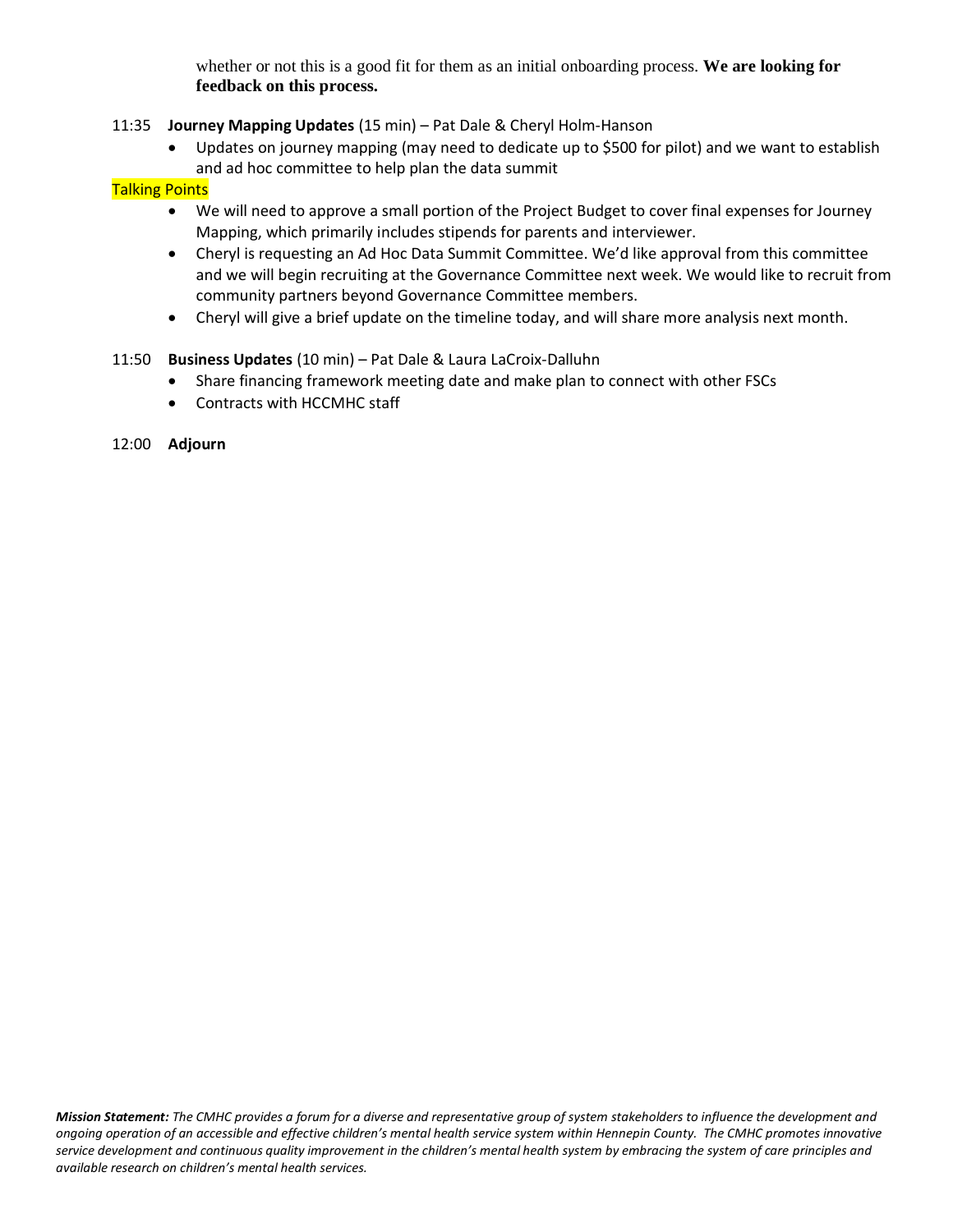whether or not this is a good fit for them as an initial onboarding process. **We are looking for feedback on this process.**

#### 11:35 **Journey Mapping Updates** (15 min) – Pat Dale & Cheryl Holm-Hanson

• Updates on journey mapping (may need to dedicate up to \$500 for pilot) and we want to establish and ad hoc committee to help plan the data summit

#### Talking Points

- We will need to approve a small portion of the Project Budget to cover final expenses for Journey Mapping, which primarily includes stipends for parents and interviewer.
- Cheryl is requesting an Ad Hoc Data Summit Committee. We'd like approval from this committee and we will begin recruiting at the Governance Committee next week. We would like to recruit from community partners beyond Governance Committee members.
- Cheryl will give a brief update on the timeline today, and will share more analysis next month.

#### 11:50 **Business Updates** (10 min) – Pat Dale & Laura LaCroix-Dalluhn

- Share financing framework meeting date and make plan to connect with other FSCs
- Contracts with HCCMHC staff
- 12:00 **Adjourn**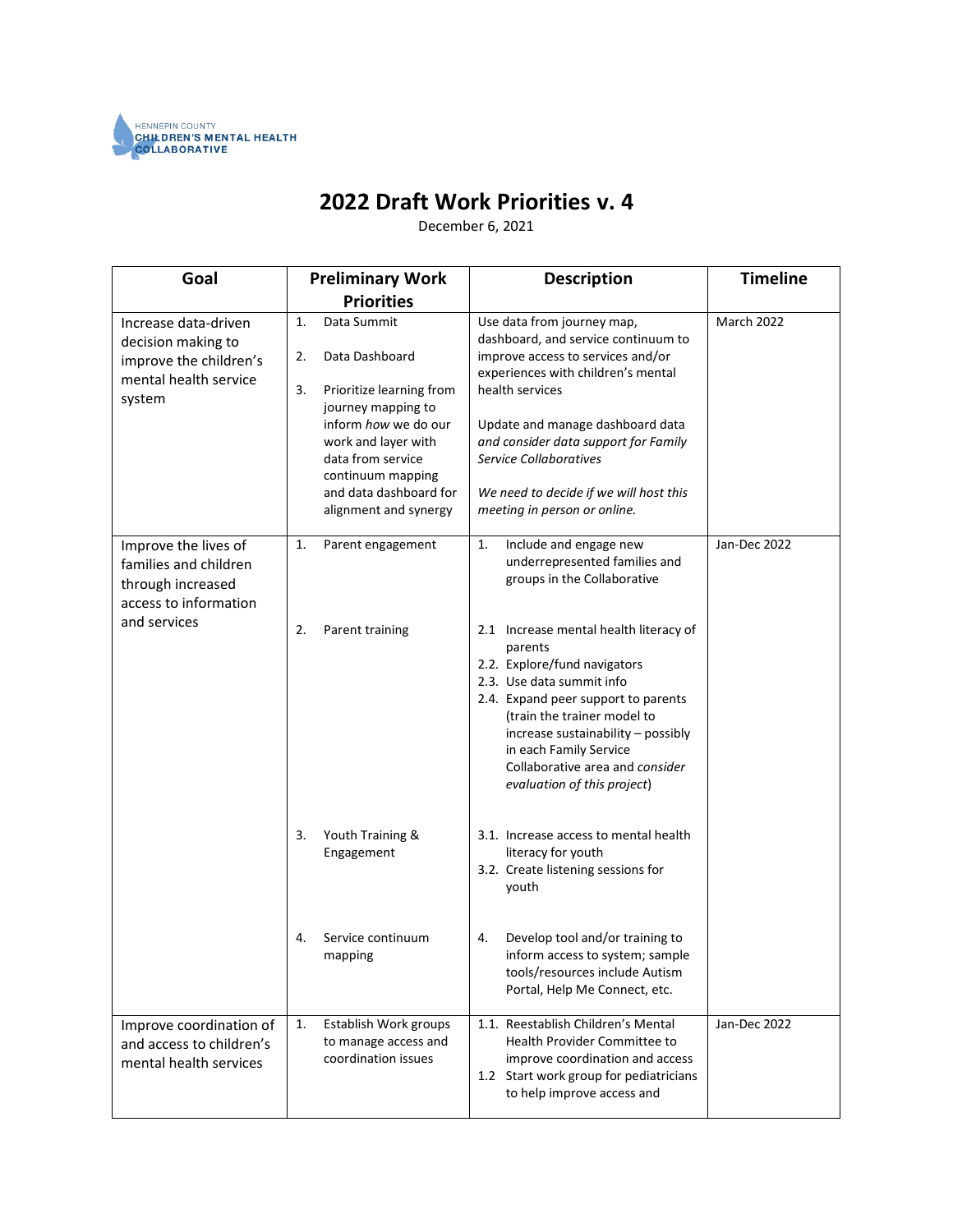

# **2022 Draft Work Priorities v. 4**

December 6, 2021

| Goal                                                                                                        | <b>Preliminary Work</b>                                                                                                                                                                          | <b>Description</b>                                                                                                                                                                                                                                                                                                     | <b>Timeline</b> |
|-------------------------------------------------------------------------------------------------------------|--------------------------------------------------------------------------------------------------------------------------------------------------------------------------------------------------|------------------------------------------------------------------------------------------------------------------------------------------------------------------------------------------------------------------------------------------------------------------------------------------------------------------------|-----------------|
|                                                                                                             | <b>Priorities</b>                                                                                                                                                                                |                                                                                                                                                                                                                                                                                                                        |                 |
| Increase data-driven<br>decision making to<br>improve the children's                                        | Data Summit<br>1.<br>Data Dashboard<br>2.                                                                                                                                                        | Use data from journey map,<br>dashboard, and service continuum to<br>improve access to services and/or<br>experiences with children's mental                                                                                                                                                                           | March 2022      |
| mental health service<br>system                                                                             | 3.<br>Prioritize learning from<br>journey mapping to<br>inform how we do our<br>work and layer with<br>data from service<br>continuum mapping<br>and data dashboard for<br>alignment and synergy | health services<br>Update and manage dashboard data<br>and consider data support for Family<br><b>Service Collaboratives</b><br>We need to decide if we will host this<br>meeting in person or online.                                                                                                                 |                 |
| Improve the lives of<br>families and children<br>through increased<br>access to information<br>and services | 1.<br>Parent engagement                                                                                                                                                                          | Include and engage new<br>1.<br>underrepresented families and<br>groups in the Collaborative                                                                                                                                                                                                                           | Jan-Dec 2022    |
|                                                                                                             | 2.<br>Parent training                                                                                                                                                                            | 2.1 Increase mental health literacy of<br>parents<br>2.2. Explore/fund navigators<br>2.3. Use data summit info<br>2.4. Expand peer support to parents<br>(train the trainer model to<br>increase sustainability - possibly<br>in each Family Service<br>Collaborative area and consider<br>evaluation of this project) |                 |
|                                                                                                             | 3.<br>Youth Training &<br>Engagement                                                                                                                                                             | 3.1. Increase access to mental health<br>literacy for youth<br>3.2. Create listening sessions for<br>youth                                                                                                                                                                                                             |                 |
|                                                                                                             | Service continuum<br>4.<br>mapping                                                                                                                                                               | Develop tool and/or training to<br>4.<br>inform access to system; sample<br>tools/resources include Autism<br>Portal, Help Me Connect, etc.                                                                                                                                                                            |                 |
| Improve coordination of<br>and access to children's<br>mental health services                               | Establish Work groups<br>1.<br>to manage access and<br>coordination issues                                                                                                                       | 1.1. Reestablish Children's Mental<br>Health Provider Committee to<br>improve coordination and access<br>1.2 Start work group for pediatricians<br>to help improve access and                                                                                                                                          | Jan-Dec 2022    |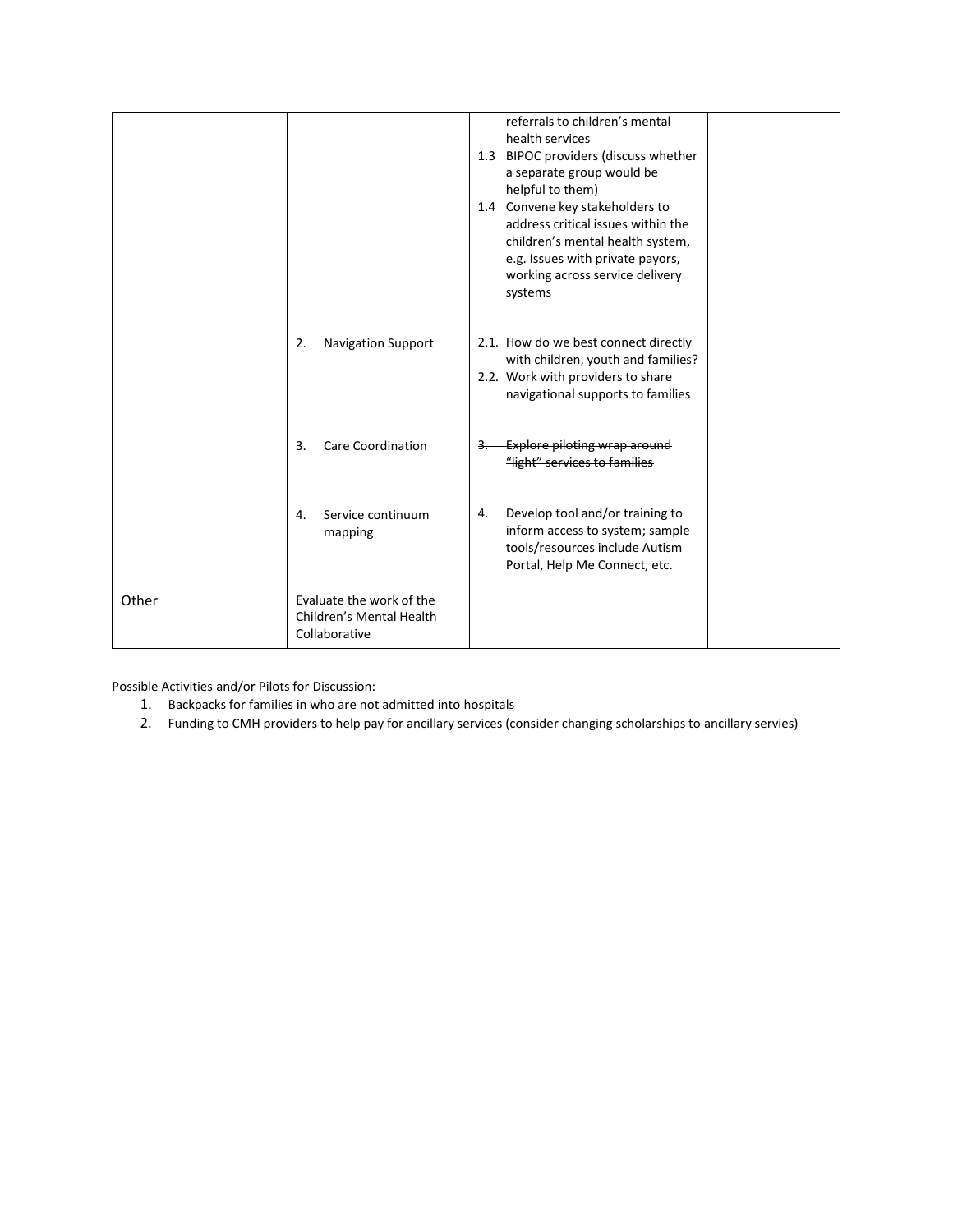|       |                                                                       | referrals to children's mental<br>health services<br>1.3 BIPOC providers (discuss whether<br>a separate group would be<br>helpful to them)<br>1.4 Convene key stakeholders to<br>address critical issues within the<br>children's mental health system,<br>e.g. Issues with private payors,<br>working across service delivery<br>systems |
|-------|-----------------------------------------------------------------------|-------------------------------------------------------------------------------------------------------------------------------------------------------------------------------------------------------------------------------------------------------------------------------------------------------------------------------------------|
|       | <b>Navigation Support</b><br>2.                                       | 2.1. How do we best connect directly<br>with children, youth and families?<br>2.2. Work with providers to share<br>navigational supports to families                                                                                                                                                                                      |
|       | Care Coordination                                                     | Explore piloting wrap around<br>"light" services to families                                                                                                                                                                                                                                                                              |
|       | Service continuum<br>4.<br>mapping                                    | Develop tool and/or training to<br>4.<br>inform access to system; sample<br>tools/resources include Autism<br>Portal, Help Me Connect, etc.                                                                                                                                                                                               |
| Other | Evaluate the work of the<br>Children's Mental Health<br>Collaborative |                                                                                                                                                                                                                                                                                                                                           |

Possible Activities and/or Pilots for Discussion:

- 1. Backpacks for families in who are not admitted into hospitals
- 2. Funding to CMH providers to help pay for ancillary services (consider changing scholarships to ancillary servies)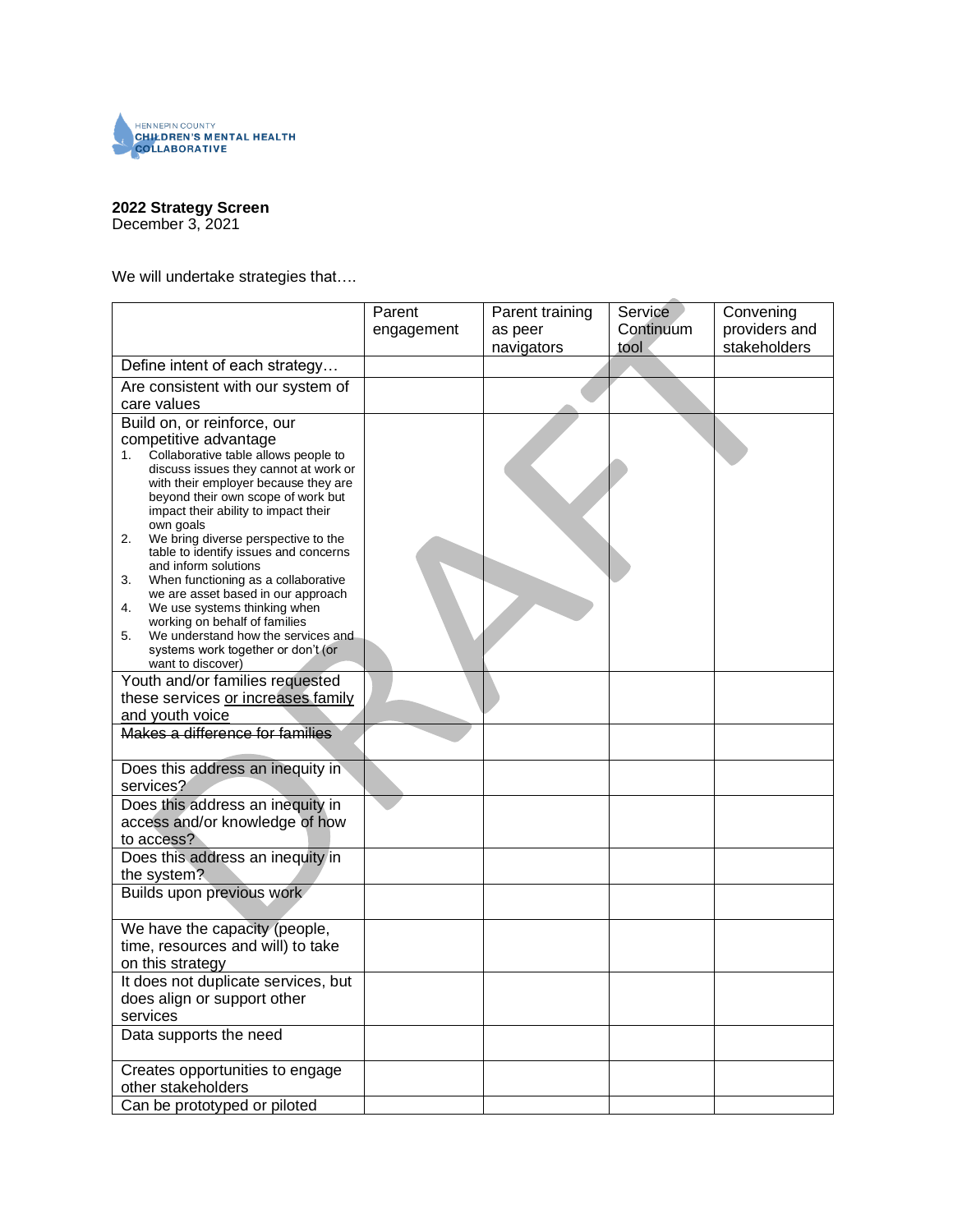

#### **2022 Strategy Screen**

December 3, 2021

We will undertake strategies that....

| Continuum<br>providers and<br>as peer<br>engagement                                 | Convening |
|-------------------------------------------------------------------------------------|-----------|
| stakeholders<br>navigators<br>tool                                                  |           |
| Define intent of each strategy                                                      |           |
| Are consistent with our system of<br>care values                                    |           |
| Build on, or reinforce, our                                                         |           |
| competitive advantage                                                               |           |
| Collaborative table allows people to<br>1.<br>discuss issues they cannot at work or |           |
| with their employer because they are                                                |           |
| beyond their own scope of work but<br>impact their ability to impact their          |           |
| own goals                                                                           |           |
| 2.<br>We bring diverse perspective to the<br>table to identify issues and concerns  |           |
| and inform solutions                                                                |           |
| 3.<br>When functioning as a collaborative<br>we are asset based in our approach     |           |
| We use systems thinking when<br>4.                                                  |           |
| working on behalf of families<br>We understand how the services and<br>5.           |           |
| systems work together or don't (or                                                  |           |
| want to discover)<br>Youth and/or families requested                                |           |
| these services or increases family                                                  |           |
| and youth voice                                                                     |           |
| Makes a difference for families                                                     |           |
|                                                                                     |           |
| Does this address an inequity in<br>services?                                       |           |
| Does this address an inequity in                                                    |           |
| access and/or knowledge of how                                                      |           |
| to access?                                                                          |           |
| Does this address an inequity in                                                    |           |
| the system?                                                                         |           |
| Builds upon previous work                                                           |           |
| We have the capacity (people,                                                       |           |
| time, resources and will) to take                                                   |           |
| on this strategy<br>It does not duplicate services, but                             |           |
| does align or support other                                                         |           |
| services                                                                            |           |
| Data supports the need                                                              |           |
|                                                                                     |           |
| Creates opportunities to engage<br>other stakeholders                               |           |
| Can be prototyped or piloted                                                        |           |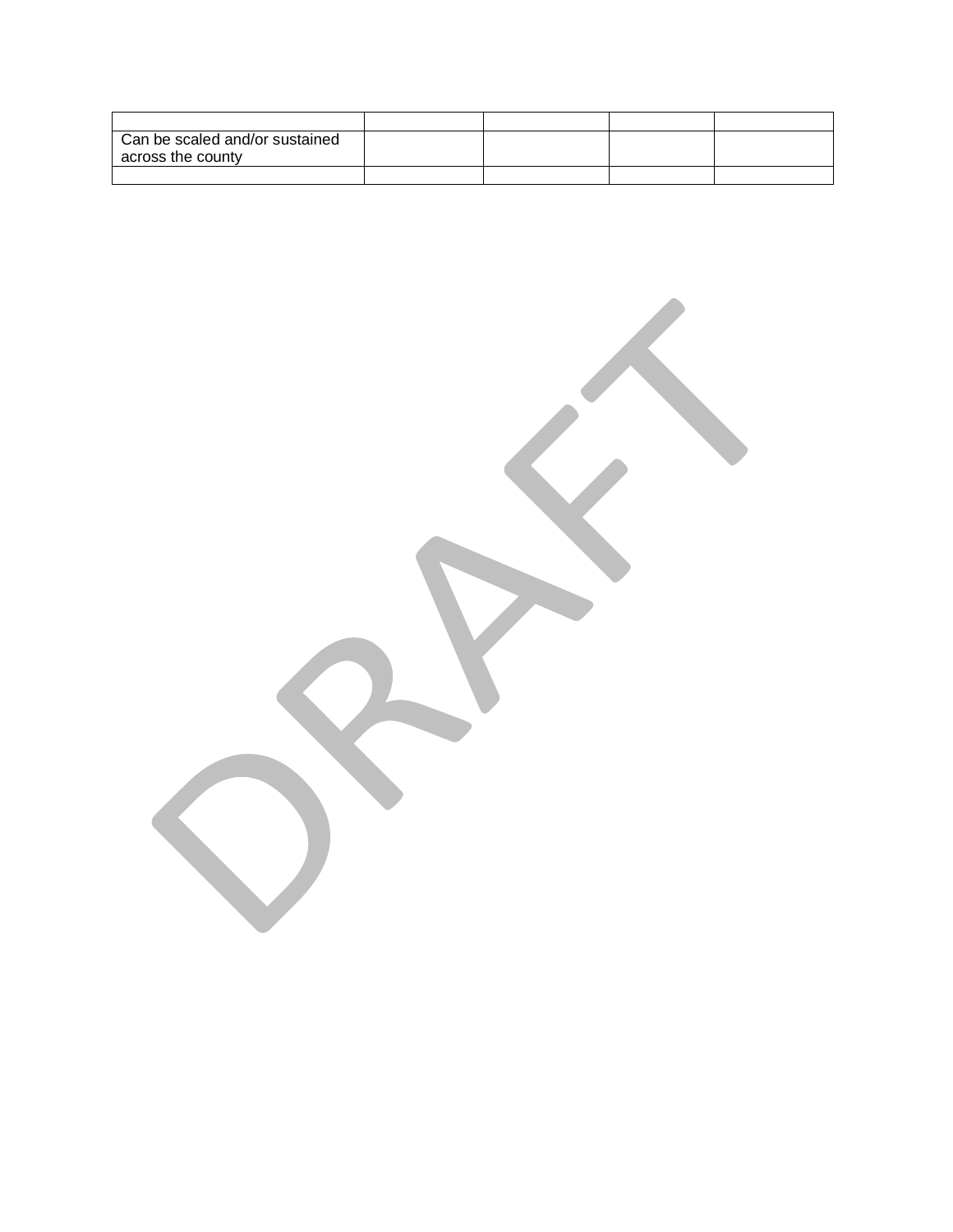| Can be scaled and/or sustained<br>across the county |  |  |
|-----------------------------------------------------|--|--|
|                                                     |  |  |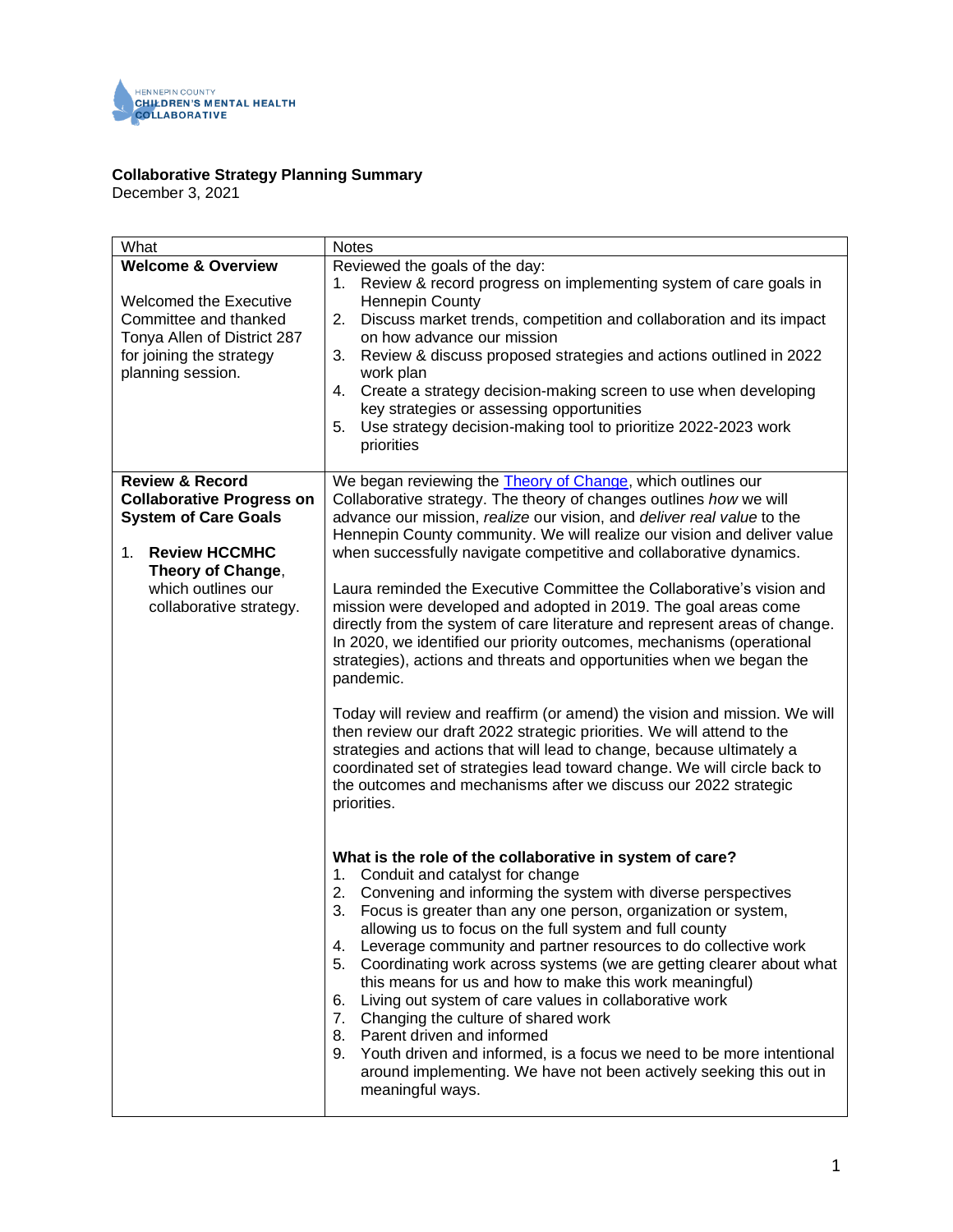

#### **Collaborative Strategy Planning Summary**

December 3, 2021

| What                             | <b>Notes</b>                                                               |
|----------------------------------|----------------------------------------------------------------------------|
| <b>Welcome &amp; Overview</b>    | Reviewed the goals of the day:                                             |
|                                  | Review & record progress on implementing system of care goals in<br>1.     |
| Welcomed the Executive           | <b>Hennepin County</b>                                                     |
| Committee and thanked            | Discuss market trends, competition and collaboration and its impact<br>2.  |
| Tonya Allen of District 287      | on how advance our mission                                                 |
| for joining the strategy         | Review & discuss proposed strategies and actions outlined in 2022<br>3.    |
| planning session.                | work plan                                                                  |
|                                  | Create a strategy decision-making screen to use when developing<br>4.      |
|                                  | key strategies or assessing opportunities                                  |
|                                  | Use strategy decision-making tool to prioritize 2022-2023 work<br>5.       |
|                                  | priorities                                                                 |
|                                  |                                                                            |
| <b>Review &amp; Record</b>       | We began reviewing the <b>Theory of Change</b> , which outlines our        |
| <b>Collaborative Progress on</b> | Collaborative strategy. The theory of changes outlines how we will         |
| <b>System of Care Goals</b>      | advance our mission, realize our vision, and deliver real value to the     |
|                                  | Hennepin County community. We will realize our vision and deliver value    |
| $1_{-}$<br><b>Review HCCMHC</b>  | when successfully navigate competitive and collaborative dynamics.         |
| Theory of Change,                |                                                                            |
| which outlines our               | Laura reminded the Executive Committee the Collaborative's vision and      |
| collaborative strategy.          | mission were developed and adopted in 2019. The goal areas come            |
|                                  | directly from the system of care literature and represent areas of change. |
|                                  | In 2020, we identified our priority outcomes, mechanisms (operational      |
|                                  | strategies), actions and threats and opportunities when we began the       |
|                                  | pandemic.                                                                  |
|                                  |                                                                            |
|                                  | Today will review and reaffirm (or amend) the vision and mission. We will  |
|                                  | then review our draft 2022 strategic priorities. We will attend to the     |
|                                  | strategies and actions that will lead to change, because ultimately a      |
|                                  | coordinated set of strategies lead toward change. We will circle back to   |
|                                  | the outcomes and mechanisms after we discuss our 2022 strategic            |
|                                  | priorities.                                                                |
|                                  |                                                                            |
|                                  |                                                                            |
|                                  | What is the role of the collaborative in system of care?                   |
|                                  | 1. Conduit and catalyst for change                                         |
|                                  | 2. Convening and informing the system with diverse perspectives            |
|                                  | Focus is greater than any one person, organization or system,<br>3.        |
|                                  | allowing us to focus on the full system and full county                    |
|                                  | Leverage community and partner resources to do collective work<br>4.       |
|                                  | 5.<br>Coordinating work across systems (we are getting clearer about what  |
|                                  | this means for us and how to make this work meaningful)                    |
|                                  | Living out system of care values in collaborative work<br>6.               |
|                                  | 7. Changing the culture of shared work                                     |
|                                  | Parent driven and informed<br>8.                                           |
|                                  | 9.<br>Youth driven and informed, is a focus we need to be more intentional |
|                                  | around implementing. We have not been actively seeking this out in         |
|                                  | meaningful ways.                                                           |
|                                  |                                                                            |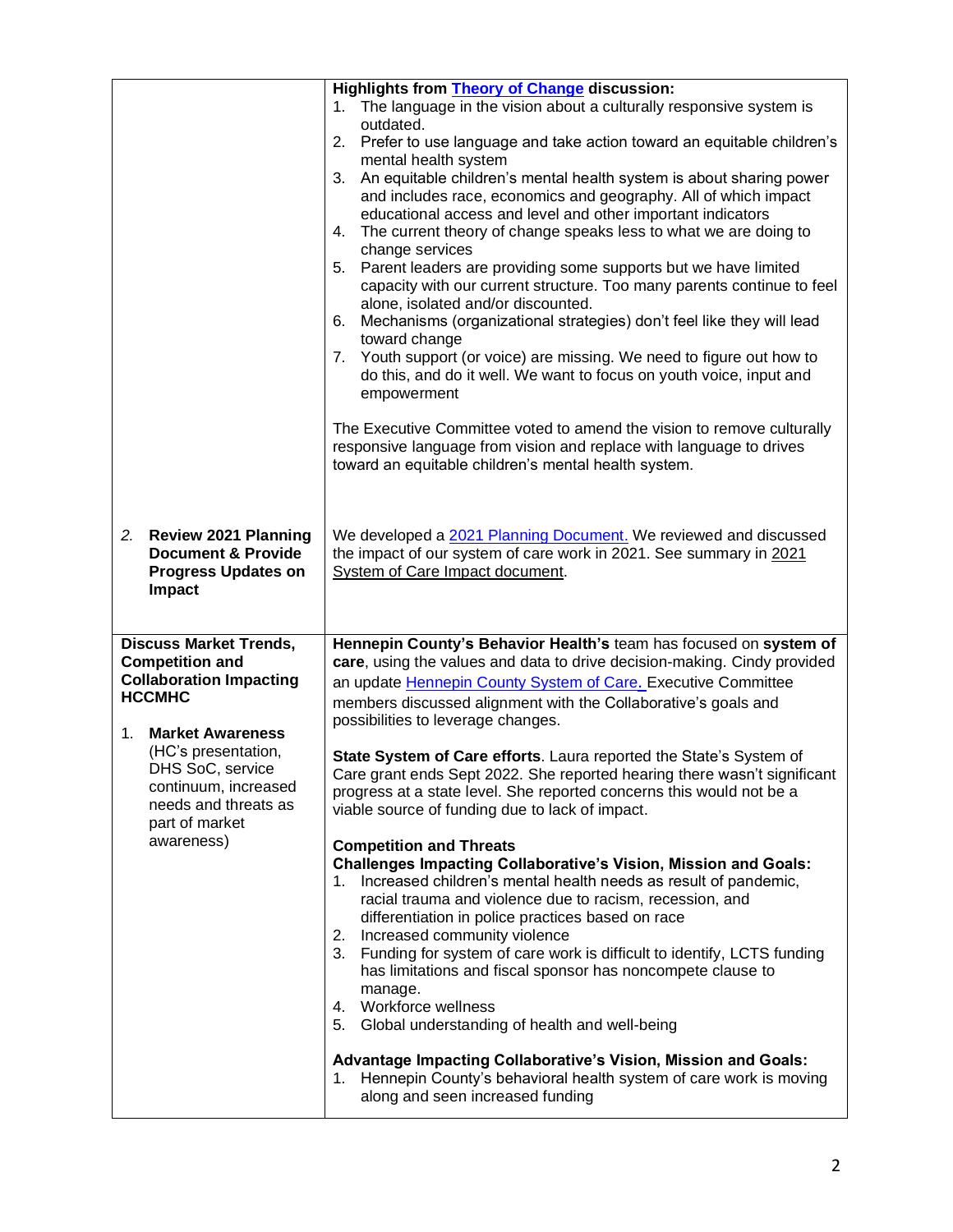|                                                                                                                                                                                                                                                                        | Highlights from <b>Theory of Change</b> discussion:<br>1. The language in the vision about a culturally responsive system is<br>outdated.<br>Prefer to use language and take action toward an equitable children's<br>2.<br>mental health system<br>An equitable children's mental health system is about sharing power<br>3.<br>and includes race, economics and geography. All of which impact<br>educational access and level and other important indicators<br>The current theory of change speaks less to what we are doing to<br>4.<br>change services<br>5. Parent leaders are providing some supports but we have limited<br>capacity with our current structure. Too many parents continue to feel<br>alone, isolated and/or discounted.<br>6. Mechanisms (organizational strategies) don't feel like they will lead<br>toward change<br>7. Youth support (or voice) are missing. We need to figure out how to<br>do this, and do it well. We want to focus on youth voice, input and<br>empowerment<br>The Executive Committee voted to amend the vision to remove culturally<br>responsive language from vision and replace with language to drives<br>toward an equitable children's mental health system.                                                                                                                                            |
|------------------------------------------------------------------------------------------------------------------------------------------------------------------------------------------------------------------------------------------------------------------------|-------------------------------------------------------------------------------------------------------------------------------------------------------------------------------------------------------------------------------------------------------------------------------------------------------------------------------------------------------------------------------------------------------------------------------------------------------------------------------------------------------------------------------------------------------------------------------------------------------------------------------------------------------------------------------------------------------------------------------------------------------------------------------------------------------------------------------------------------------------------------------------------------------------------------------------------------------------------------------------------------------------------------------------------------------------------------------------------------------------------------------------------------------------------------------------------------------------------------------------------------------------------------------------------------------------------------------------------------------------------|
| 2. Review 2021 Planning<br><b>Document &amp; Provide</b><br><b>Progress Updates on</b><br>Impact                                                                                                                                                                       | We developed a 2021 Planning Document. We reviewed and discussed<br>the impact of our system of care work in 2021. See summary in 2021<br>System of Care Impact document.                                                                                                                                                                                                                                                                                                                                                                                                                                                                                                                                                                                                                                                                                                                                                                                                                                                                                                                                                                                                                                                                                                                                                                                         |
| <b>Discuss Market Trends,</b><br><b>Competition and</b><br><b>Collaboration Impacting</b><br><b>HCCMHC</b><br><b>Market Awareness</b><br>1.<br>(HC's presentation,<br>DHS SoC, service<br>continuum, increased<br>needs and threats as<br>part of market<br>awareness) | Hennepin County's Behavior Health's team has focused on system of<br>care, using the values and data to drive decision-making. Cindy provided<br>an update Hennepin County System of Care. Executive Committee<br>members discussed alignment with the Collaborative's goals and<br>possibilities to leverage changes.<br>State System of Care efforts. Laura reported the State's System of<br>Care grant ends Sept 2022. She reported hearing there wasn't significant<br>progress at a state level. She reported concerns this would not be a<br>viable source of funding due to lack of impact.<br><b>Competition and Threats</b><br><b>Challenges Impacting Collaborative's Vision, Mission and Goals:</b><br>Increased children's mental health needs as result of pandemic,<br>1.<br>racial trauma and violence due to racism, recession, and<br>differentiation in police practices based on race<br>Increased community violence<br>2.<br>3. Funding for system of care work is difficult to identify, LCTS funding<br>has limitations and fiscal sponsor has noncompete clause to<br>manage.<br>4. Workforce wellness<br>5. Global understanding of health and well-being<br>Advantage Impacting Collaborative's Vision, Mission and Goals:<br>1. Hennepin County's behavioral health system of care work is moving<br>along and seen increased funding |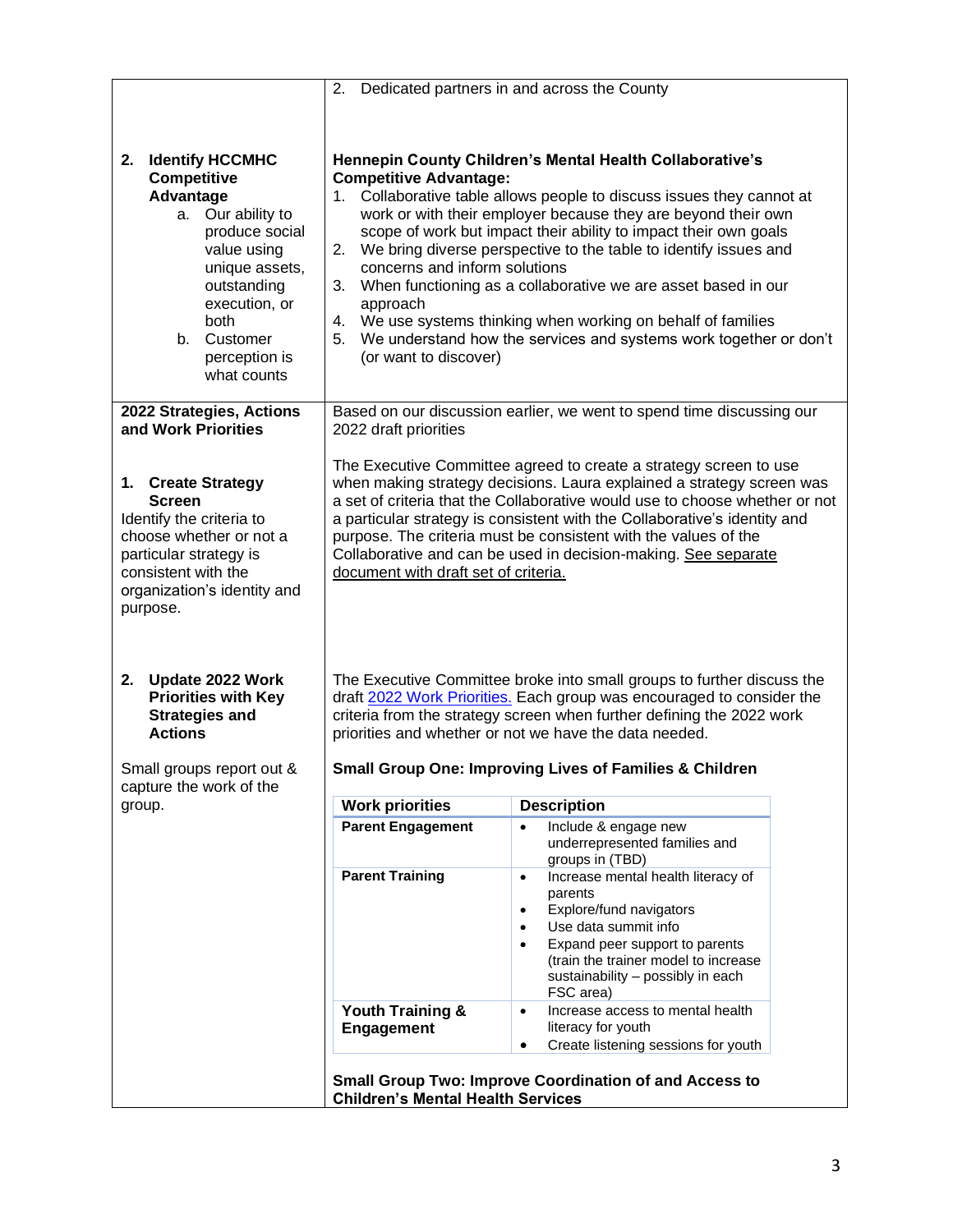|                                                                                                                                                                                                                         | 2.                                                                                                  | Dedicated partners in and across the County                                                                                                                                                                                                                                                                                                                                                                                                                                                                                                                |
|-------------------------------------------------------------------------------------------------------------------------------------------------------------------------------------------------------------------------|-----------------------------------------------------------------------------------------------------|------------------------------------------------------------------------------------------------------------------------------------------------------------------------------------------------------------------------------------------------------------------------------------------------------------------------------------------------------------------------------------------------------------------------------------------------------------------------------------------------------------------------------------------------------------|
|                                                                                                                                                                                                                         |                                                                                                     |                                                                                                                                                                                                                                                                                                                                                                                                                                                                                                                                                            |
|                                                                                                                                                                                                                         |                                                                                                     |                                                                                                                                                                                                                                                                                                                                                                                                                                                                                                                                                            |
| <b>Identify HCCMHC</b><br>2.<br>Competitive<br>Advantage<br>a. Our ability to<br>produce social<br>value using<br>unique assets,<br>outstanding<br>execution, or<br>both<br>b. Customer<br>perception is<br>what counts | <b>Competitive Advantage:</b><br>concerns and inform solutions<br>approach<br>(or want to discover) | Hennepin County Children's Mental Health Collaborative's<br>1. Collaborative table allows people to discuss issues they cannot at<br>work or with their employer because they are beyond their own<br>scope of work but impact their ability to impact their own goals<br>2. We bring diverse perspective to the table to identify issues and<br>3. When functioning as a collaborative we are asset based in our<br>4. We use systems thinking when working on behalf of families<br>5. We understand how the services and systems work together or don't |
| 2022 Strategies, Actions<br>and Work Priorities                                                                                                                                                                         | 2022 draft priorities                                                                               | Based on our discussion earlier, we went to spend time discussing our                                                                                                                                                                                                                                                                                                                                                                                                                                                                                      |
| 1. Create Strategy<br><b>Screen</b><br>Identify the criteria to<br>choose whether or not a<br>particular strategy is<br>consistent with the<br>organization's identity and<br>purpose.                                  | document with draft set of criteria.                                                                | The Executive Committee agreed to create a strategy screen to use<br>when making strategy decisions. Laura explained a strategy screen was<br>a set of criteria that the Collaborative would use to choose whether or not<br>a particular strategy is consistent with the Collaborative's identity and<br>purpose. The criteria must be consistent with the values of the<br>Collaborative and can be used in decision-making. See separate                                                                                                                |
| 2.<br>Update 2022 Work<br><b>Priorities with Key</b><br><b>Strategies and</b><br><b>Actions</b>                                                                                                                         |                                                                                                     | The Executive Committee broke into small groups to further discuss the<br>draft 2022 Work Priorities. Each group was encouraged to consider the<br>criteria from the strategy screen when further defining the 2022 work<br>priorities and whether or not we have the data needed.                                                                                                                                                                                                                                                                         |
| Small groups report out &<br>capture the work of the                                                                                                                                                                    |                                                                                                     | <b>Small Group One: Improving Lives of Families &amp; Children</b>                                                                                                                                                                                                                                                                                                                                                                                                                                                                                         |
| group.                                                                                                                                                                                                                  | <b>Work priorities</b>                                                                              | <b>Description</b>                                                                                                                                                                                                                                                                                                                                                                                                                                                                                                                                         |
|                                                                                                                                                                                                                         | <b>Parent Engagement</b>                                                                            | Include & engage new<br>underrepresented families and<br>groups in (TBD)                                                                                                                                                                                                                                                                                                                                                                                                                                                                                   |
|                                                                                                                                                                                                                         | <b>Parent Training</b>                                                                              | Increase mental health literacy of<br>$\bullet$<br>parents<br>Explore/fund navigators<br>$\bullet$<br>Use data summit info<br>Expand peer support to parents<br>(train the trainer model to increase<br>sustainability - possibly in each<br>FSC area)                                                                                                                                                                                                                                                                                                     |
|                                                                                                                                                                                                                         | Youth Training &<br><b>Engagement</b>                                                               | Increase access to mental health<br>$\bullet$<br>literacy for youth<br>Create listening sessions for youth<br>٠                                                                                                                                                                                                                                                                                                                                                                                                                                            |
|                                                                                                                                                                                                                         | <b>Children's Mental Health Services</b>                                                            | <b>Small Group Two: Improve Coordination of and Access to</b>                                                                                                                                                                                                                                                                                                                                                                                                                                                                                              |